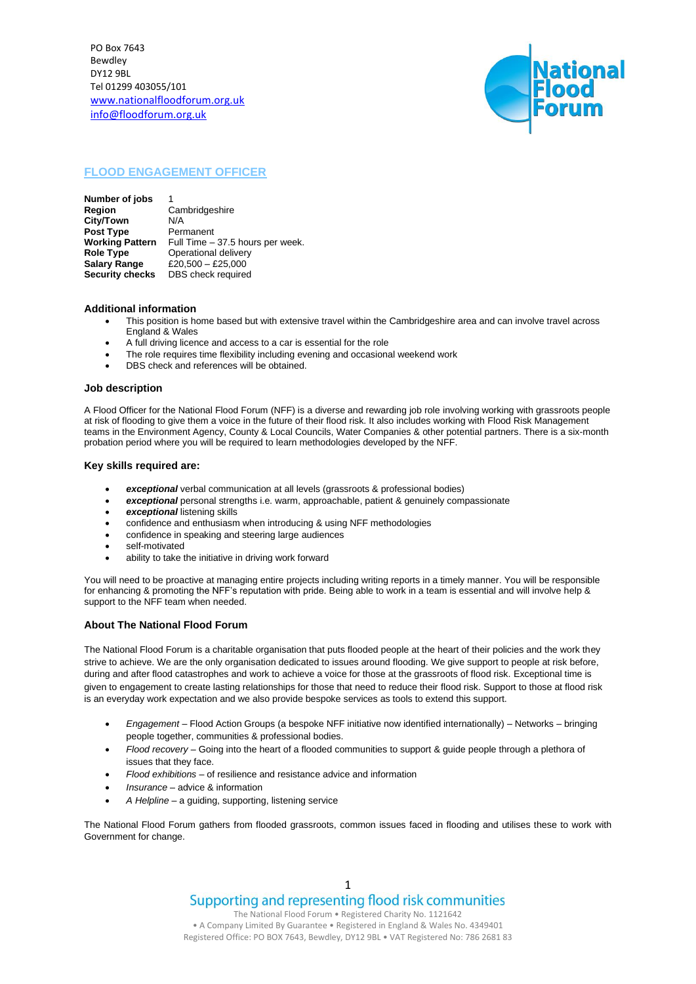PO Box 7643 Bewdley DY12 9BL Tel 01299 403055/101 [www.nationalfloodforum.org.uk](http://www.nationalfloodforum.org.uk/) info@floodforum.org.uk



# **FLOOD ENGAGEMENT OFFICER**

**Number of jobs**<br>Region **Region** Cambridgeshire **City/Town** N/A **Post Type** Permanent<br>**Working Pattern** Full Time -**Working Pattern** Full Time – 37.5 hours per week.<br>**Role Type Conditional delivery Operational delivery Salary Range** £20,500 – £25,000<br>**Security checks** DBS check required **DBS** check required

## **Additional information**

- This position is home based but with extensive travel within the Cambridgeshire area and can involve travel across England & Wales
	- A full driving licence and access to a car is essential for the role
	- The role requires time flexibility including evening and occasional weekend work
- DBS check and references will be obtained.

#### **Job description**

A Flood Officer for the National Flood Forum (NFF) is a diverse and rewarding job role involving working with grassroots people at risk of flooding to give them a voice in the future of their flood risk. It also includes working with Flood Risk Management teams in the Environment Agency, County & Local Councils, Water Companies & other potential partners. There is a six-month probation period where you will be required to learn methodologies developed by the NFF.

### **Key skills required are:**

- *exceptional* verbal communication at all levels (grassroots & professional bodies)
- *exceptional* personal strengths i.e. warm, approachable, patient & genuinely compassionate
- *exceptional* listening skills
- confidence and enthusiasm when introducing & using NFF methodologies
- confidence in speaking and steering large audiences
- self-motivated
- ability to take the initiative in driving work forward

You will need to be proactive at managing entire projects including writing reports in a timely manner. You will be responsible for enhancing & promoting the NFF's reputation with pride. Being able to work in a team is essential and will involve help & support to the NFF team when needed.

#### **About The National Flood Forum**

The National Flood Forum is a charitable organisation that puts flooded people at the heart of their policies and the work they strive to achieve. We are the only organisation dedicated to issues around flooding. We give support to people at risk before, during and after flood catastrophes and work to achieve a voice for those at the grassroots of flood risk. Exceptional time is given to engagement to create lasting relationships for those that need to reduce their flood risk. Support to those at flood risk is an everyday work expectation and we also provide bespoke services as tools to extend this support.

- *Engagement*  Flood Action Groups (a bespoke NFF initiative now identified internationally) Networks bringing people together, communities & professional bodies.
- *Flood recovery* Going into the heart of a flooded communities to support & guide people through a plethora of issues that they face.
- *Flood exhibitions* of resilience and resistance advice and information
- *Insurance* advice & information
- *A Helpline* a guiding, supporting, listening service

The National Flood Forum gathers from flooded grassroots, common issues faced in flooding and utilises these to work with Government for change.

> 1 Supporting and representing flood risk communities

The National Flood Forum • Registered Charity No. 1121642 • A Company Limited By Guarantee • Registered in England & Wales No. 4349401 Registered Office: PO BOX 7643, Bewdley, DY12 9BL • VAT Registered No: 786 2681 83